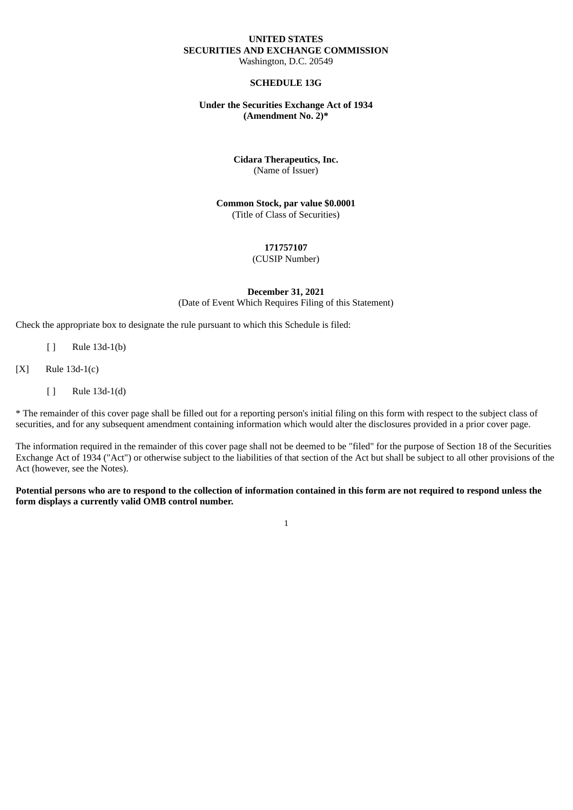#### **UNITED STATES SECURITIES AND EXCHANGE COMMISSION** Washington, D.C. 20549

### **SCHEDULE 13G**

#### **Under the Securities Exchange Act of 1934 (Amendment No. 2)\***

#### **Cidara Therapeutics, Inc.** (Name of Issuer)

**Common Stock, par value \$0.0001** (Title of Class of Securities)

# **171757107**

# (CUSIP Number)

#### **December 31, 2021** (Date of Event Which Requires Filing of this Statement)

Check the appropriate box to designate the rule pursuant to which this Schedule is filed:

- [ ] Rule 13d-1(b)
- [X] Rule 13d-1(c)
	- [ ] Rule 13d-1(d)

\* The remainder of this cover page shall be filled out for a reporting person's initial filing on this form with respect to the subject class of securities, and for any subsequent amendment containing information which would alter the disclosures provided in a prior cover page.

The information required in the remainder of this cover page shall not be deemed to be "filed" for the purpose of Section 18 of the Securities Exchange Act of 1934 ("Act") or otherwise subject to the liabilities of that section of the Act but shall be subject to all other provisions of the Act (however, see the Notes).

### Potential persons who are to respond to the collection of information contained in this form are not required to respond unless the **form displays a currently valid OMB control number.**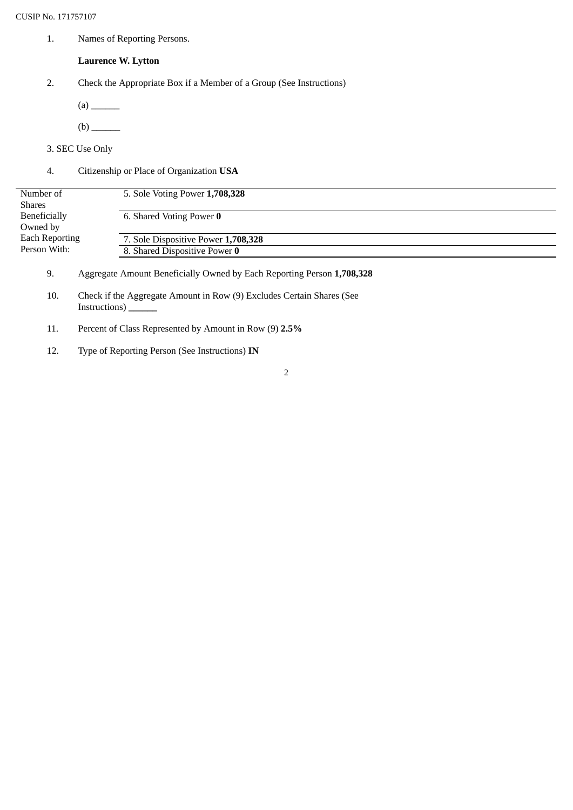1. Names of Reporting Persons.

# **Laurence W. Lytton**

- 2. Check the Appropriate Box if a Member of a Group (See Instructions)
	- (a) \_\_\_\_\_\_
	- (b) \_\_\_\_\_\_
- 3. SEC Use Only
- 4. Citizenship or Place of Organization **USA**

| Number of             | 5. Sole Voting Power 1,708,328      |  |
|-----------------------|-------------------------------------|--|
| <b>Shares</b>         |                                     |  |
| Beneficially          | 6. Shared Voting Power 0            |  |
| Owned by              |                                     |  |
| <b>Each Reporting</b> | 7. Sole Dispositive Power 1,708,328 |  |
| Person With:          | 8. Shared Dispositive Power 0       |  |
|                       |                                     |  |

- 9. Aggregate Amount Beneficially Owned by Each Reporting Person **1,708,328**
- 10. Check if the Aggregate Amount in Row (9) Excludes Certain Shares (See Instructions) **\_\_\_\_\_\_**
- 11. Percent of Class Represented by Amount in Row (9) **2.5%**
- 12. Type of Reporting Person (See Instructions) **IN**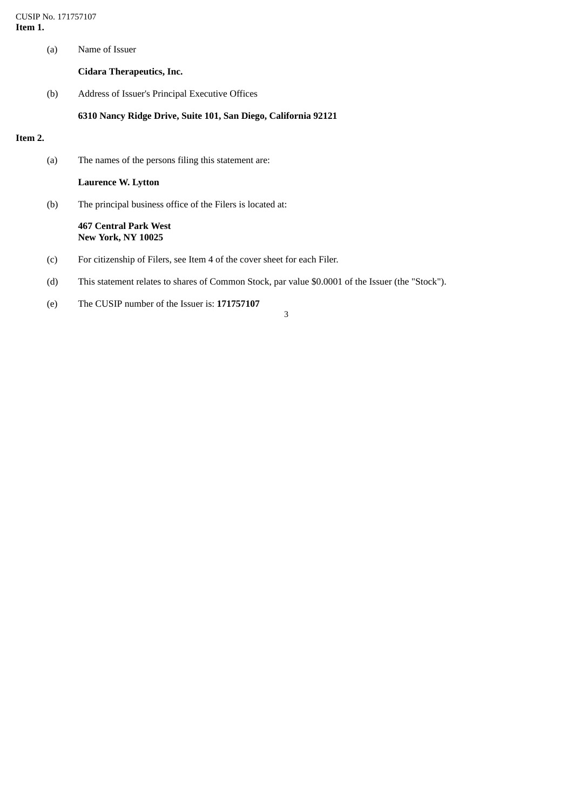CUSIP No. 171757107 **Item 1.**

(a) Name of Issuer

**Cidara Therapeutics, Inc.**

(b) Address of Issuer's Principal Executive Offices

#### **6310 Nancy Ridge Drive, Suite 101, San Diego, California 92121**

### **Item 2.**

(a) The names of the persons filing this statement are:

**Laurence W. Lytton**

(b) The principal business office of the Filers is located at:

#### **467 Central Park West New York, NY 10025**

- (c) For citizenship of Filers, see Item 4 of the cover sheet for each Filer.
- (d) This statement relates to shares of Common Stock, par value \$0.0001 of the Issuer (the "Stock").
- (e) The CUSIP number of the Issuer is: **171757107**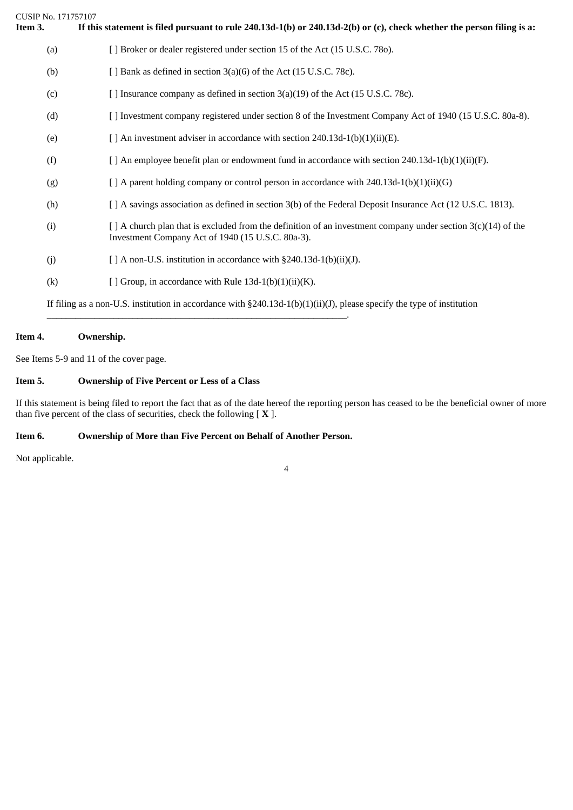| CUSIP No. 171757107<br>Item 3. | If this statement is filed pursuant to rule $240.13d-1(b)$ or $240.13d-2(b)$ or (c), check whether the person filing is a:                                              |
|--------------------------------|-------------------------------------------------------------------------------------------------------------------------------------------------------------------------|
| (a)                            | [ ] Broker or dealer registered under section 15 of the Act (15 U.S.C. 780).                                                                                            |
| (b)                            | [ ] Bank as defined in section 3(a)(6) of the Act (15 U.S.C. 78c).                                                                                                      |
| (c)                            | [ ] Insurance company as defined in section 3(a)(19) of the Act (15 U.S.C. 78c).                                                                                        |
| (d)                            | [ ] Investment company registered under section 8 of the Investment Company Act of 1940 (15 U.S.C. 80a-8).                                                              |
| (e)                            | [ ] An investment adviser in accordance with section 240.13d-1(b)(1)(ii)(E).                                                                                            |
| (f)                            | [ ] An employee benefit plan or endowment fund in accordance with section $240.13d-1(b)(1)(ii)(F)$ .                                                                    |
| (g)                            | $[$ A parent holding company or control person in accordance with 240.13d-1(b)(1)(ii)(G)                                                                                |
| (h)                            | [ ] A savings association as defined in section 3(b) of the Federal Deposit Insurance Act (12 U.S.C. 1813).                                                             |
| (i)                            | $\lceil$ A church plan that is excluded from the definition of an investment company under section 3(c)(14) of the<br>Investment Company Act of 1940 (15 U.S.C. 80a-3). |
| (i)                            | [ ] A non-U.S. institution in accordance with §240.13d-1(b)(ii)(J).                                                                                                     |
| (k)                            | [ ] Group, in accordance with Rule $13d-1(b)(1)(ii)(K)$ .                                                                                                               |
|                                | If filing as a non-U.S. institution in accordance with $\S 240.13d-1(b)(1)(ii)(J)$ , please specify the type of institution                                             |

# **Item 4. Ownership.**

See Items 5-9 and 11 of the cover page.

### **Item 5. Ownership of Five Percent or Less of a Class**

If this statement is being filed to report the fact that as of the date hereof the reporting person has ceased to be the beneficial owner of more than five percent of the class of securities, check the following [ **X** ].

# **Item 6. Ownership of More than Five Percent on Behalf of Another Person.**

\_\_\_\_\_\_\_\_\_\_\_\_\_\_\_\_\_\_\_\_\_\_\_\_\_\_\_\_\_\_\_\_\_\_\_\_\_\_\_\_\_\_\_\_\_\_\_\_\_\_\_\_\_\_\_\_\_\_\_\_\_\_\_.

Not applicable.